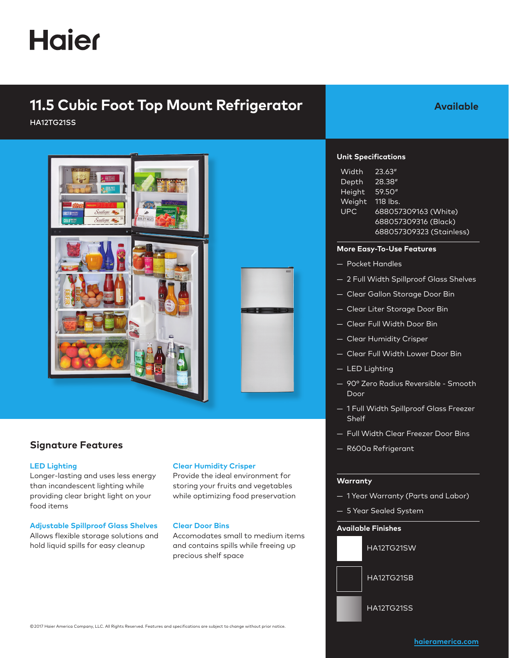# **Haier**

# **11.5 Cubic Foot Top Mount Refrigerator**

HA12TG21SS



### **Signature Features**

#### **LED Lighting**

Longer-lasting and uses less energy than incandescent lighting while providing clear bright light on your food items

#### **Adjustable Spillproof Glass Shelves**

Allows flexible storage solutions and hold liquid spills for easy cleanup

#### **Clear Humidity Crisper**

Provide the ideal environment for storing your fruits and vegetables while optimizing food preservation

#### **Clear Door Bins**

Accomodates small to medium items and contains spills while freeing up precious shelf space

## **Available**

#### **Unit Specifications**

| <b>Width</b> | 23.63''                  |
|--------------|--------------------------|
| Depth        | 28.38"                   |
| Height       | 59.50"                   |
| Weight       | 118 lbs.                 |
| <b>UPC</b>   | 688057309163 (White)     |
|              | 688057309316 (Black)     |
|              | 688057309323 (Stainless) |

#### **More Easy-To-Use Features**

- Pocket Handles
- 2 Full Width Spillproof Glass Shelves
- Clear Gallon Storage Door Bin
- Clear Liter Storage Door Bin
- Clear Full Width Door Bin
- Clear Humidity Crisper
- Clear Full Width Lower Door Bin
- LED Lighting
- 90° Zero Radius Reversible Smooth Door
- 1 Full Width Spillproof Glass Freezer **Shelf**
- Full Width Clear Freezer Door Bins
- R600a Refrigerant

#### **Warranty**

- 1 Year Warranty (Parts and Labor)
- 5 Year Sealed System

#### **Available Finishes**



© 2017 Haier America Company, LLC. All Rights Reserved. Features and specifications are subject to change without prior notice.